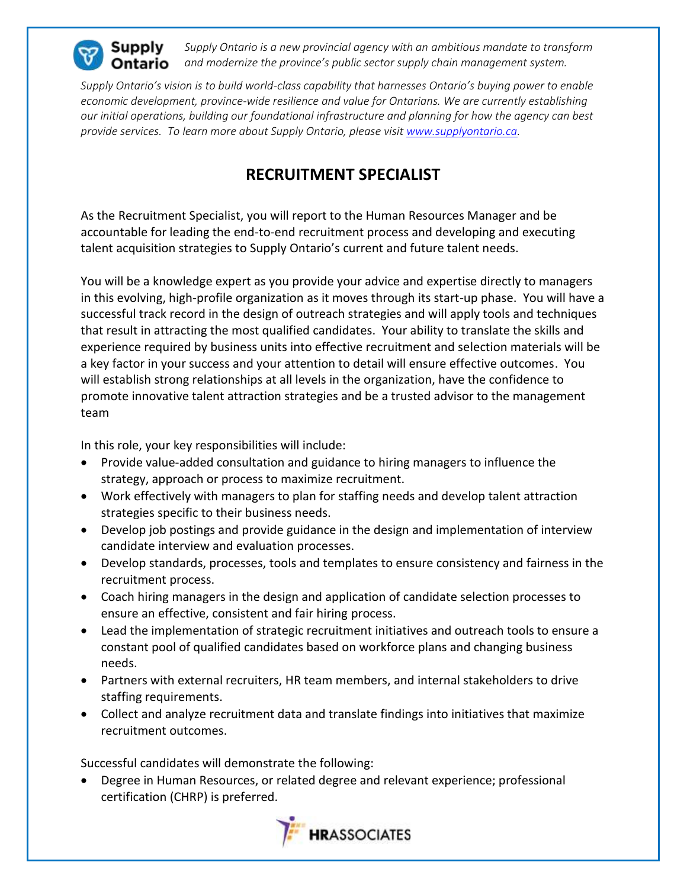

*Supply Ontario is a new provincial agency with an ambitious mandate to transform*  Ontario *and modernize the province's public sector supply chain management system.*

*Supply Ontario's vision is to build world-class capability that harnesses Ontario's buying power to enable economic development, province-wide resilience and value for Ontarians. We are currently establishing our initial operations, building our foundational infrastructure and planning for how the agency can best provide services. To learn more about Supply Ontario, please visit [www.supplyontario.ca.](http://www.supplyontario.ca/)* 

## **RECRUITMENT SPECIALIST**

As the Recruitment Specialist, you will report to the Human Resources Manager and be accountable for leading the end-to-end recruitment process and developing and executing talent acquisition strategies to Supply Ontario's current and future talent needs.

You will be a knowledge expert as you provide your advice and expertise directly to managers in this evolving, high-profile organization as it moves through its start-up phase. You will have a successful track record in the design of outreach strategies and will apply tools and techniques that result in attracting the most qualified candidates. Your ability to translate the skills and experience required by business units into effective recruitment and selection materials will be a key factor in your success and your attention to detail will ensure effective outcomes. You will establish strong relationships at all levels in the organization, have the confidence to promote innovative talent attraction strategies and be a trusted advisor to the management team

In this role, your key responsibilities will include:

- Provide value-added consultation and guidance to hiring managers to influence the strategy, approach or process to maximize recruitment.
- Work effectively with managers to plan for staffing needs and develop talent attraction strategies specific to their business needs.
- Develop job postings and provide guidance in the design and implementation of interview candidate interview and evaluation processes.
- Develop standards, processes, tools and templates to ensure consistency and fairness in the recruitment process.
- Coach hiring managers in the design and application of candidate selection processes to ensure an effective, consistent and fair hiring process.
- Lead the implementation of strategic recruitment initiatives and outreach tools to ensure a constant pool of qualified candidates based on workforce plans and changing business needs.
- Partners with external recruiters, HR team members, and internal stakeholders to drive staffing requirements.
- Collect and analyze recruitment data and translate findings into initiatives that maximize recruitment outcomes.

Successful candidates will demonstrate the following:

• Degree in Human Resources, or related degree and relevant experience; professional certification (CHRP) is preferred.